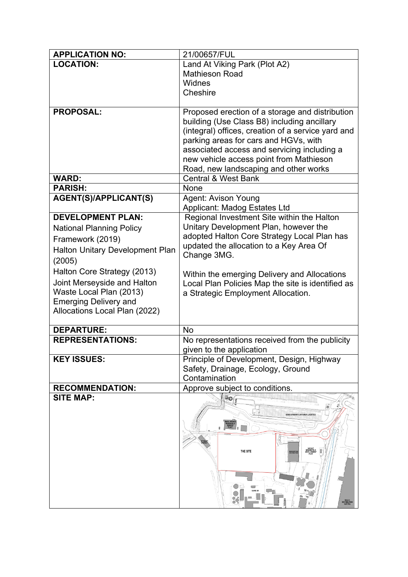| <b>APPLICATION NO:</b>          | 21/00657/FUL                                                            |
|---------------------------------|-------------------------------------------------------------------------|
| <b>LOCATION:</b>                | Land At Viking Park (Plot A2)                                           |
|                                 | <b>Mathieson Road</b>                                                   |
|                                 | Widnes                                                                  |
|                                 | Cheshire                                                                |
|                                 |                                                                         |
| <b>PROPOSAL:</b>                | Proposed erection of a storage and distribution                         |
|                                 | building (Use Class B8) including ancillary                             |
|                                 | (integral) offices, creation of a service yard and                      |
|                                 | parking areas for cars and HGVs, with                                   |
|                                 | associated access and servicing including a                             |
|                                 | new vehicle access point from Mathieson                                 |
| <b>WARD:</b>                    | Road, new landscaping and other works<br><b>Central &amp; West Bank</b> |
| <b>PARISH:</b>                  | None                                                                    |
| <b>AGENT(S)/APPLICANT(S)</b>    | Agent: Avison Young                                                     |
|                                 | Applicant: Madog Estates Ltd                                            |
| <b>DEVELOPMENT PLAN:</b>        | Regional Investment Site within the Halton                              |
| <b>National Planning Policy</b> | Unitary Development Plan, however the                                   |
| Framework (2019)                | adopted Halton Core Strategy Local Plan has                             |
|                                 | updated the allocation to a Key Area Of                                 |
| Halton Unitary Development Plan | Change 3MG.                                                             |
| (2005)                          |                                                                         |
| Halton Core Strategy (2013)     | Within the emerging Delivery and Allocations                            |
| Joint Merseyside and Halton     | Local Plan Policies Map the site is identified as                       |
| Waste Local Plan (2013)         | a Strategic Employment Allocation.                                      |
| <b>Emerging Delivery and</b>    |                                                                         |
| Allocations Local Plan (2022)   |                                                                         |
| <b>DEPARTURE:</b>               | <b>No</b>                                                               |
| <b>REPRESENTATIONS:</b>         | No representations received from the publicity                          |
|                                 | given to the application                                                |
| <b>KEY ISSUES:</b>              | Principle of Development, Design, Highway                               |
|                                 | Safety, Drainage, Ecology, Ground                                       |
|                                 | Contamination                                                           |
| <b>RECOMMENDATION:</b>          | Approve subject to conditions.                                          |
| <b>SITE MAP:</b>                | $\mathbb{L}_{\mathbf{O}(\mathfrak{g})}$                                 |
|                                 |                                                                         |
|                                 | DOME STOBART CONTAINER LOGISTI                                          |
|                                 |                                                                         |
|                                 |                                                                         |
|                                 | THE SITE                                                                |
|                                 |                                                                         |
|                                 |                                                                         |
|                                 |                                                                         |
|                                 |                                                                         |
|                                 | TESCO<br>DISTRIBUTIC<br>CENTRE                                          |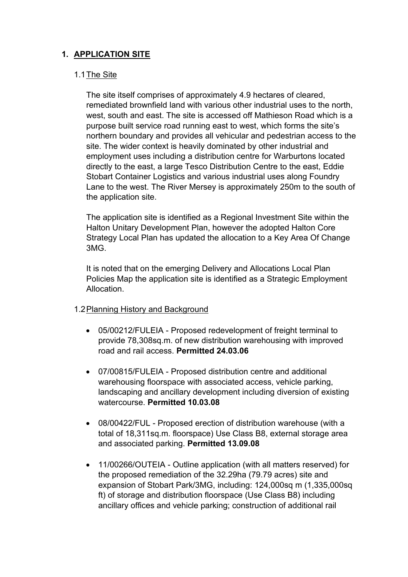# **1. APPLICATION SITE**

## 1.1The Site

The site itself comprises of approximately 4.9 hectares of cleared, remediated brownfield land with various other industrial uses to the north, west, south and east. The site is accessed off Mathieson Road which is a purpose built service road running east to west, which forms the site's northern boundary and provides all vehicular and pedestrian access to the site. The wider context is heavily dominated by other industrial and employment uses including a distribution centre for Warburtons located directly to the east, a large Tesco Distribution Centre to the east, Eddie Stobart Container Logistics and various industrial uses along Foundry Lane to the west. The River Mersey is approximately 250m to the south of the application site.

The application site is identified as a Regional Investment Site within the Halton Unitary Development Plan, however the adopted Halton Core Strategy Local Plan has updated the allocation to a Key Area Of Change 3MG.

It is noted that on the emerging Delivery and Allocations Local Plan Policies Map the application site is identified as a Strategic Employment **Allocation** 

## 1.2Planning History and Background

- 05/00212/FULEIA Proposed redevelopment of freight terminal to provide 78,308sq.m. of new distribution warehousing with improved road and rail access. **Permitted 24.03.06**
- 07/00815/FULEIA Proposed distribution centre and additional warehousing floorspace with associated access, vehicle parking, landscaping and ancillary development including diversion of existing watercourse. **Permitted 10.03.08**
- 08/00422/FUL Proposed erection of distribution warehouse (with a total of 18,311sq.m. floorspace) Use Class B8, external storage area and associated parking. **Permitted 13.09.08**
- 11/00266/OUTEIA Outline application (with all matters reserved) for the proposed remediation of the 32.29ha (79.79 acres) site and expansion of Stobart Park/3MG, including: 124,000sq m (1,335,000sq ft) of storage and distribution floorspace (Use Class B8) including ancillary offices and vehicle parking; construction of additional rail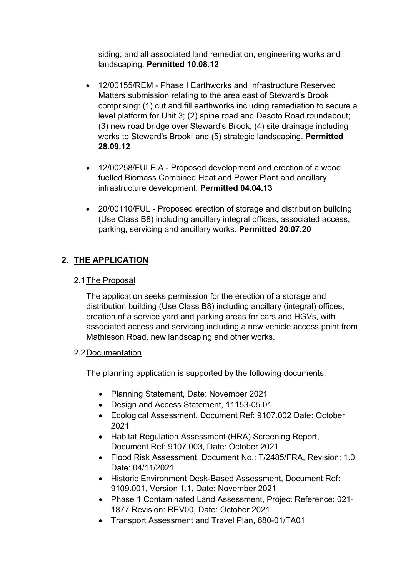siding; and all associated land remediation, engineering works and landscaping. **Permitted 10.08.12**

- 12/00155/REM Phase I Earthworks and Infrastructure Reserved Matters submission relating to the area east of Steward's Brook comprising: (1) cut and fill earthworks including remediation to secure a level platform for Unit 3; (2) spine road and Desoto Road roundabout; (3) new road bridge over Steward's Brook; (4) site drainage including works to Steward's Brook; and (5) strategic landscaping. **Permitted 28.09.12**
- 12/00258/FULEIA Proposed development and erection of a wood fuelled Biomass Combined Heat and Power Plant and ancillary infrastructure development. **Permitted 04.04.13**
- 20/00110/FUL Proposed erection of storage and distribution building (Use Class B8) including ancillary integral offices, associated access, parking, servicing and ancillary works. **Permitted 20.07.20**

# **2. THE APPLICATION**

## 2.1The Proposal

The application seeks permission for the erection of a storage and distribution building (Use Class B8) including ancillary (integral) offices, creation of a service yard and parking areas for cars and HGVs, with associated access and servicing including a new vehicle access point from Mathieson Road, new landscaping and other works.

## 2.2Documentation

The planning application is supported by the following documents:

- Planning Statement, Date: November 2021
- Design and Access Statement, 11153-05.01
- Ecological Assessment, Document Ref: 9107.002 Date: October 2021
- Habitat Regulation Assessment (HRA) Screening Report, Document Ref: 9107.003, Date: October 2021
- Flood Risk Assessment, Document No.: T/2485/FRA, Revision: 1.0, Date: 04/11/2021
- Historic Environment Desk-Based Assessment, Document Ref: 9109.001, Version 1.1, Date: November 2021
- Phase 1 Contaminated Land Assessment, Project Reference: 021- 1877 Revision: REV00, Date: October 2021
- Transport Assessment and Travel Plan, 680-01/TA01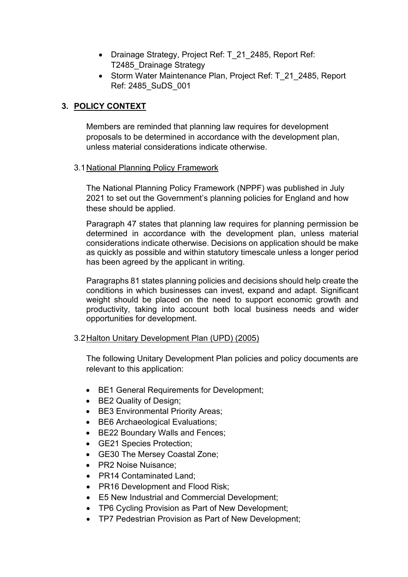- Drainage Strategy, Project Ref: T 21 2485, Report Ref: T2485\_Drainage Strategy
- Storm Water Maintenance Plan, Project Ref: T 21 2485, Report Ref: 2485\_SuDS\_001

# **3. POLICY CONTEXT**

Members are reminded that planning law requires for development proposals to be determined in accordance with the development plan, unless material considerations indicate otherwise.

## 3.1 National Planning Policy Framework

The National Planning Policy Framework (NPPF) was published in July 2021 to set out the Government's planning policies for England and how these should be applied.

Paragraph 47 states that planning law requires for planning permission be determined in accordance with the development plan, unless material considerations indicate otherwise. Decisions on application should be make as quickly as possible and within statutory timescale unless a longer period has been agreed by the applicant in writing.

Paragraphs 81 states planning policies and decisions should help create the conditions in which businesses can invest, expand and adapt. Significant weight should be placed on the need to support economic growth and productivity, taking into account both local business needs and wider opportunities for development.

## 3.2Halton Unitary Development Plan (UPD) (2005)

The following Unitary Development Plan policies and policy documents are relevant to this application:

- BE1 General Requirements for Development;
- BE2 Quality of Design;
- BE3 Environmental Priority Areas:
- BE6 Archaeological Evaluations;
- BE22 Boundary Walls and Fences;
- GE21 Species Protection;
- GE30 The Mersey Coastal Zone;
- PR2 Noise Nuisance;
- PR14 Contaminated Land;
- PR16 Development and Flood Risk;
- E5 New Industrial and Commercial Development;
- TP6 Cycling Provision as Part of New Development;
- TP7 Pedestrian Provision as Part of New Development;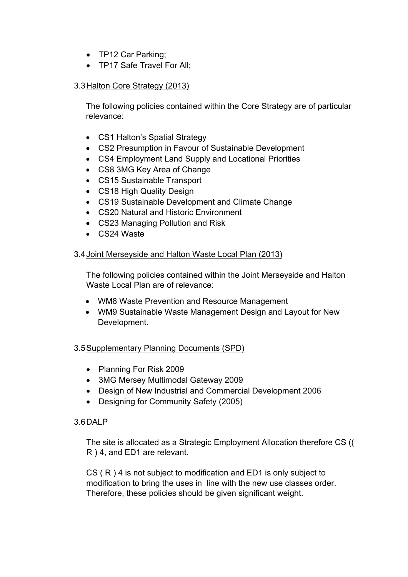- TP12 Car Parking;
- TP17 Safe Travel For All:

## 3.3Halton Core Strategy (2013)

The following policies contained within the Core Strategy are of particular relevance:

- CS1 Halton's Spatial Strategy
- CS2 Presumption in Favour of Sustainable Development
- CS4 Employment Land Supply and Locational Priorities
- CS8 3MG Key Area of Change
- CS15 Sustainable Transport
- CS18 High Quality Design
- CS19 Sustainable Development and Climate Change
- CS20 Natural and Historic Environment
- CS23 Managing Pollution and Risk
- CS24 Waste

## 3.4Joint Merseyside and Halton Waste Local Plan (2013)

The following policies contained within the Joint Merseyside and Halton Waste Local Plan are of relevance:

- WM8 Waste Prevention and Resource Management
- WM9 Sustainable Waste Management Design and Layout for New Development.

## 3.5Supplementary Planning Documents (SPD)

- Planning For Risk 2009
- 3MG Mersey Multimodal Gateway 2009
- Design of New Industrial and Commercial Development 2006
- Designing for Community Safety (2005)

## 3.6DALP

The site is allocated as a Strategic Employment Allocation therefore CS (( R ) 4, and ED1 are relevant.

CS ( R ) 4 is not subject to modification and ED1 is only subject to modification to bring the uses in line with the new use classes order. Therefore, these policies should be given significant weight.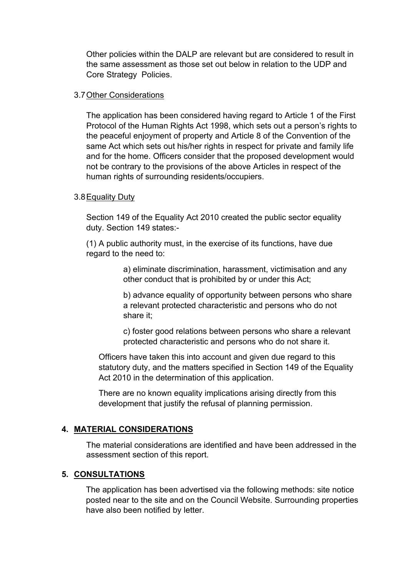Other policies within the DALP are relevant but are considered to result in the same assessment as those set out below in relation to the UDP and Core Strategy Policies.

#### 3.7Other Considerations

The application has been considered having regard to Article 1 of the First Protocol of the Human Rights Act 1998, which sets out a person's rights to the peaceful enjoyment of property and Article 8 of the Convention of the same Act which sets out his/her rights in respect for private and family life and for the home. Officers consider that the proposed development would not be contrary to the provisions of the above Articles in respect of the human rights of surrounding residents/occupiers.

## 3.8Equality Duty

Section 149 of the Equality Act 2010 created the public sector equality duty. Section 149 states:-

(1) A public authority must, in the exercise of its functions, have due regard to the need to:

> a) eliminate discrimination, harassment, victimisation and any other conduct that is prohibited by or under this Act;

b) advance equality of opportunity between persons who share a relevant protected characteristic and persons who do not share it;

c) foster good relations between persons who share a relevant protected characteristic and persons who do not share it.

Officers have taken this into account and given due regard to this statutory duty, and the matters specified in Section 149 of the Equality Act 2010 in the determination of this application.

There are no known equality implications arising directly from this development that justify the refusal of planning permission.

## **4. MATERIAL CONSIDERATIONS**

The material considerations are identified and have been addressed in the assessment section of this report.

## **5. CONSULTATIONS**

The application has been advertised via the following methods: site notice posted near to the site and on the Council Website. Surrounding properties have also been notified by letter.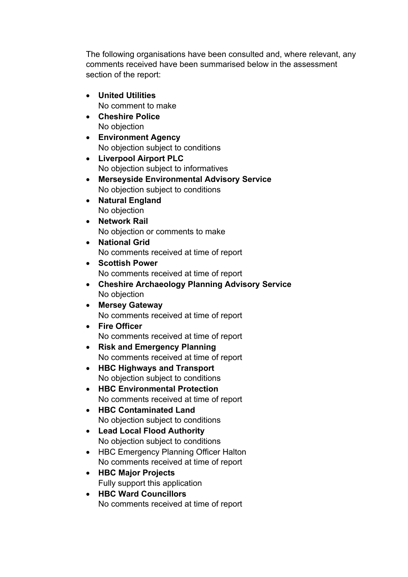The following organisations have been consulted and, where relevant, any comments received have been summarised below in the assessment section of the report:

- **United Utilities** No comment to make
- **Cheshire Police** No objection
- **Environment Agency** No objection subject to conditions
- **Liverpool Airport PLC** No objection subject to informatives
- **Merseyside Environmental Advisory Service** No objection subject to conditions
- **Natural England** No objection
- **Network Rail** No objection or comments to make
- **National Grid** No comments received at time of report
- **Scottish Power** No comments received at time of report
- **Cheshire Archaeology Planning Advisory Service** No objection
- **Mersey Gateway** No comments received at time of report
- **Fire Officer** No comments received at time of report
- **Risk and Emergency Planning** No comments received at time of report
- **HBC Highways and Transport** No objection subject to conditions
- **HBC Environmental Protection** No comments received at time of report
- **HBC Contaminated Land** No objection subject to conditions
- **Lead Local Flood Authority** No objection subject to conditions
- HBC Emergency Planning Officer Halton No comments received at time of report
- **HBC Major Projects** Fully support this application
- **HBC Ward Councillors** No comments received at time of report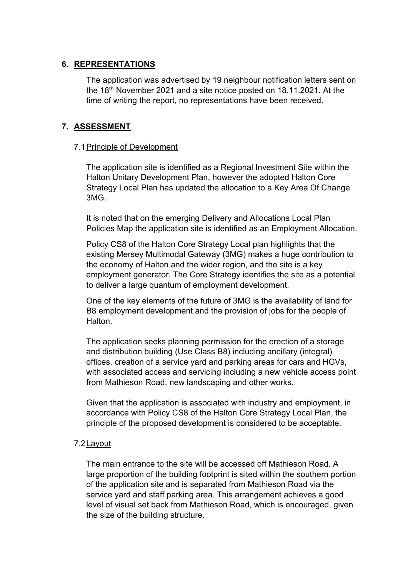## **6. REPRESENTATIONS**

The application was advertised by 19 neighbour notification letters sent on the 18th November 2021 and a site notice posted on 18.11.2021. At the time of writing the report, no representations have been received.

## **7. ASSESSMENT**

## 7.1Principle of Development

The application site is identified as a Regional Investment Site within the Halton Unitary Development Plan, however the adopted Halton Core Strategy Local Plan has updated the allocation to a Key Area Of Change 3MG.

It is noted that on the emerging Delivery and Allocations Local Plan Policies Map the application site is identified as an Employment Allocation.

Policy CS8 of the Halton Core Strategy Local plan highlights that the existing Mersey Multimodal Gateway (3MG) makes a huge contribution to the economy of Halton and the wider region, and the site is a key employment generator. The Core Strategy identifies the site as a potential to deliver a large quantum of employment development.

One of the key elements of the future of 3MG is the availability of land for B8 employment development and the provision of jobs for the people of **Halton** 

The application seeks planning permission for the erection of a storage and distribution building (Use Class B8) including ancillary (integral) offices, creation of a service yard and parking areas for cars and HGVs, with associated access and servicing including a new vehicle access point from Mathieson Road, new landscaping and other works.

Given that the application is associated with industry and employment, in accordance with Policy CS8 of the Halton Core Strategy Local Plan, the principle of the proposed development is considered to be acceptable.

## 7.2Layout

The main entrance to the site will be accessed off Mathieson Road. A large proportion of the building footprint is sited within the southern portion of the application site and is separated from Mathieson Road via the service yard and staff parking area. This arrangement achieves a good level of visual set back from Mathieson Road, which is encouraged, given the size of the building structure.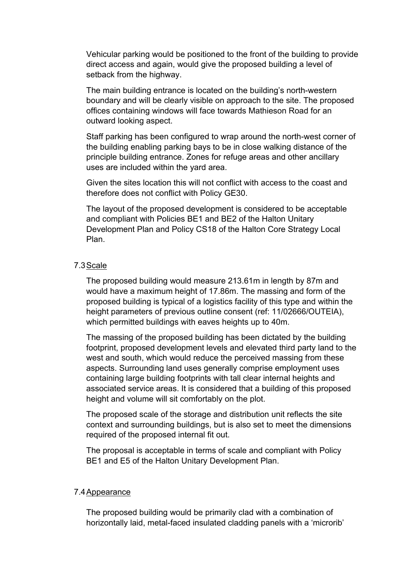Vehicular parking would be positioned to the front of the building to provide direct access and again, would give the proposed building a level of setback from the highway.

The main building entrance is located on the building's north-western boundary and will be clearly visible on approach to the site. The proposed offices containing windows will face towards Mathieson Road for an outward looking aspect.

Staff parking has been configured to wrap around the north-west corner of the building enabling parking bays to be in close walking distance of the principle building entrance. Zones for refuge areas and other ancillary uses are included within the yard area.

Given the sites location this will not conflict with access to the coast and therefore does not conflict with Policy GE30.

The layout of the proposed development is considered to be acceptable and compliant with Policies BE1 and BE2 of the Halton Unitary Development Plan and Policy CS18 of the Halton Core Strategy Local Plan.

#### 7.3Scale

The proposed building would measure 213.61m in length by 87m and would have a maximum height of 17.86m. The massing and form of the proposed building is typical of a logistics facility of this type and within the height parameters of previous outline consent (ref: 11/02666/OUTEIA), which permitted buildings with eaves heights up to 40m.

The massing of the proposed building has been dictated by the building footprint, proposed development levels and elevated third party land to the west and south, which would reduce the perceived massing from these aspects. Surrounding land uses generally comprise employment uses containing large building footprints with tall clear internal heights and associated service areas. It is considered that a building of this proposed height and volume will sit comfortably on the plot.

The proposed scale of the storage and distribution unit reflects the site context and surrounding buildings, but is also set to meet the dimensions required of the proposed internal fit out.

The proposal is acceptable in terms of scale and compliant with Policy BE1 and E5 of the Halton Unitary Development Plan.

#### 7.4Appearance

The proposed building would be primarily clad with a combination of horizontally laid, metal-faced insulated cladding panels with a 'microrib'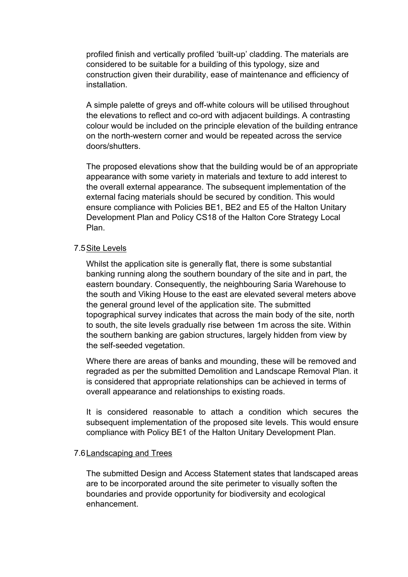profiled finish and vertically profiled 'built-up' cladding. The materials are considered to be suitable for a building of this typology, size and construction given their durability, ease of maintenance and efficiency of installation.

A simple palette of greys and off-white colours will be utilised throughout the elevations to reflect and co-ord with adjacent buildings. A contrasting colour would be included on the principle elevation of the building entrance on the north-western corner and would be repeated across the service doors/shutters.

The proposed elevations show that the building would be of an appropriate appearance with some variety in materials and texture to add interest to the overall external appearance. The subsequent implementation of the external facing materials should be secured by condition. This would ensure compliance with Policies BE1, BE2 and E5 of the Halton Unitary Development Plan and Policy CS18 of the Halton Core Strategy Local Plan.

## 7.5Site Levels

Whilst the application site is generally flat, there is some substantial banking running along the southern boundary of the site and in part, the eastern boundary. Consequently, the neighbouring Saria Warehouse to the south and Viking House to the east are elevated several meters above the general ground level of the application site. The submitted topographical survey indicates that across the main body of the site, north to south, the site levels gradually rise between 1m across the site. Within the southern banking are gabion structures, largely hidden from view by the self-seeded vegetation.

Where there are areas of banks and mounding, these will be removed and regraded as per the submitted Demolition and Landscape Removal Plan. it is considered that appropriate relationships can be achieved in terms of overall appearance and relationships to existing roads.

It is considered reasonable to attach a condition which secures the subsequent implementation of the proposed site levels. This would ensure compliance with Policy BE1 of the Halton Unitary Development Plan.

## 7.6Landscaping and Trees

The submitted Design and Access Statement states that landscaped areas are to be incorporated around the site perimeter to visually soften the boundaries and provide opportunity for biodiversity and ecological enhancement.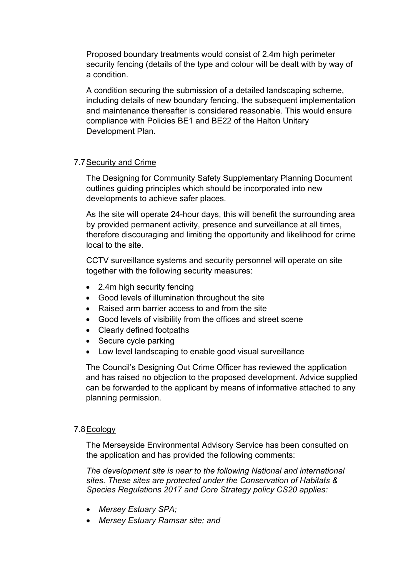Proposed boundary treatments would consist of 2.4m high perimeter security fencing (details of the type and colour will be dealt with by way of a condition.

A condition securing the submission of a detailed landscaping scheme, including details of new boundary fencing, the subsequent implementation and maintenance thereafter is considered reasonable. This would ensure compliance with Policies BE1 and BE22 of the Halton Unitary Development Plan.

## 7.7Security and Crime

The Designing for Community Safety Supplementary Planning Document outlines guiding principles which should be incorporated into new developments to achieve safer places.

As the site will operate 24-hour days, this will benefit the surrounding area by provided permanent activity, presence and surveillance at all times, therefore discouraging and limiting the opportunity and likelihood for crime local to the site.

CCTV surveillance systems and security personnel will operate on site together with the following security measures:

- 2.4m high security fencing
- Good levels of illumination throughout the site
- Raised arm barrier access to and from the site
- Good levels of visibility from the offices and street scene
- Clearly defined footpaths
- Secure cycle parking
- Low level landscaping to enable good visual surveillance

The Council's Designing Out Crime Officer has reviewed the application and has raised no objection to the proposed development. Advice supplied can be forwarded to the applicant by means of informative attached to any planning permission.

#### 7.8Ecology

The Merseyside Environmental Advisory Service has been consulted on the application and has provided the following comments:

*The development site is near to the following National and international sites. These sites are protected under the Conservation of Habitats & Species Regulations 2017 and Core Strategy policy CS20 applies:*

- *Mersey Estuary SPA;*
- *Mersey Estuary Ramsar site; and*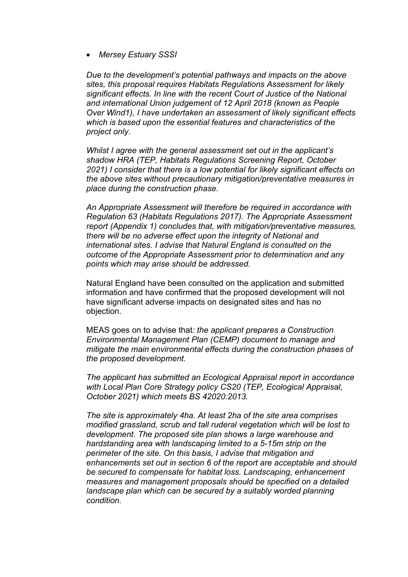*Mersey Estuary SSSI*

*Due to the development's potential pathways and impacts on the above sites, this proposal requires Habitats Regulations Assessment for likely significant effects. In line with the recent Court of Justice of the National and international Union judgement of 12 April 2018 (known as People Over Wind1), I have undertaken an assessment of likely significant effects which is based upon the essential features and characteristics of the project only.*

*Whilst I agree with the general assessment set out in the applicant's shadow HRA (TEP, Habitats Regulations Screening Report, October 2021) I consider that there is a low potential for likely significant effects on the above sites without precautionary mitigation/preventative measures in place during the construction phase.*

*An Appropriate Assessment will therefore be required in accordance with Regulation 63 (Habitats Regulations 2017). The Appropriate Assessment report (Appendix 1) concludes that, with mitigation/preventative measures, there will be no adverse effect upon the integrity of National and international sites. I advise that Natural England is consulted on the outcome of the Appropriate Assessment prior to determination and any points which may arise should be addressed.*

Natural England have been consulted on the application and submitted information and have confirmed that the proposed development will not have significant adverse impacts on designated sites and has no objection.

MEAS goes on to advise that*: the applicant prepares a Construction Environmental Management Plan (CEMP) document to manage and mitigate the main environmental effects during the construction phases of the proposed development.*

*The applicant has submitted an Ecological Appraisal report in accordance with Local Plan Core Strategy policy CS20 (TEP, Ecological Appraisal, October 2021) which meets BS 42020:2013.*

*The site is approximately 4ha. At least 2ha of the site area comprises modified grassland, scrub and tall ruderal vegetation which will be lost to development. The proposed site plan shows a large warehouse and hardstanding area with landscaping limited to a 5-15m strip on the perimeter of the site. On this basis, I advise that mitigation and enhancements set out in section 6 of the report are acceptable and should be secured to compensate for habitat loss. Landscaping, enhancement measures and management proposals should be specified on a detailed landscape plan which can be secured by a suitably worded planning condition.*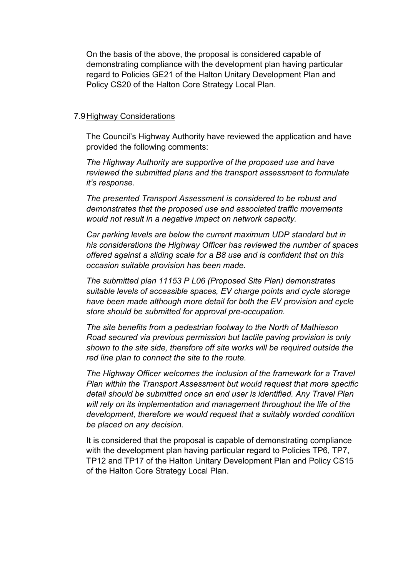On the basis of the above, the proposal is considered capable of demonstrating compliance with the development plan having particular regard to Policies GE21 of the Halton Unitary Development Plan and Policy CS20 of the Halton Core Strategy Local Plan.

#### 7.9Highway Considerations

The Council's Highway Authority have reviewed the application and have provided the following comments:

*The Highway Authority are supportive of the proposed use and have reviewed the submitted plans and the transport assessment to formulate it's response.*

*The presented Transport Assessment is considered to be robust and demonstrates that the proposed use and associated traffic movements would not result in a negative impact on network capacity.*

*Car parking levels are below the current maximum UDP standard but in his considerations the Highway Officer has reviewed the number of spaces offered against a sliding scale for a B8 use and is confident that on this occasion suitable provision has been made.*

*The submitted plan 11153 P L06 (Proposed Site Plan) demonstrates suitable levels of accessible spaces, EV charge points and cycle storage have been made although more detail for both the EV provision and cycle store should be submitted for approval pre-occupation.*

*The site benefits from a pedestrian footway to the North of Mathieson Road secured via previous permission but tactile paving provision is only shown to the site side, therefore off site works will be required outside the red line plan to connect the site to the route.*

*The Highway Officer welcomes the inclusion of the framework for a Travel Plan within the Transport Assessment but would request that more specific detail should be submitted once an end user is identified. Any Travel Plan will rely on its implementation and management throughout the life of the development, therefore we would request that a suitably worded condition be placed on any decision.*

It is considered that the proposal is capable of demonstrating compliance with the development plan having particular regard to Policies TP6, TP7, TP12 and TP17 of the Halton Unitary Development Plan and Policy CS15 of the Halton Core Strategy Local Plan.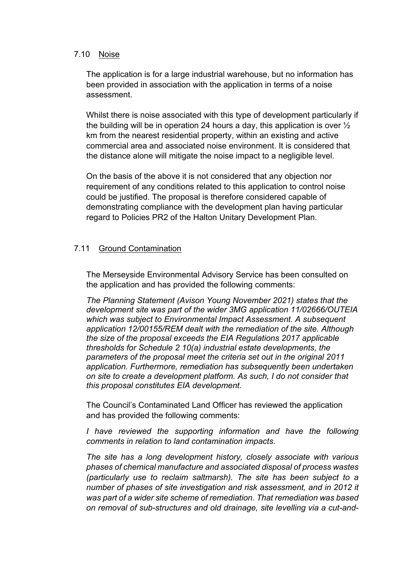#### 7.10 Noise

The application is for a large industrial warehouse, but no information has been provided in association with the application in terms of a noise assessment.

Whilst there is noise associated with this type of development particularly if the building will be in operation 24 hours a day, this application is over  $\frac{1}{2}$ km from the nearest residential property, within an existing and active commercial area and associated noise environment. It is considered that the distance alone will mitigate the noise impact to a negligible level.

On the basis of the above it is not considered that any objection nor requirement of any conditions related to this application to control noise could be justified. The proposal is therefore considered capable of demonstrating compliance with the development plan having particular regard to Policies PR2 of the Halton Unitary Development Plan.

## 7.11 Ground Contamination

The Merseyside Environmental Advisory Service has been consulted on the application and has provided the following comments:

*The Planning Statement (Avison Young November 2021) states that the development site was part of the wider 3MG application 11/02666/OUTEIA which was subject to Environmental Impact Assessment. A subsequent application 12/00155/REM dealt with the remediation of the site. Although the size of the proposal exceeds the EIA Regulations 2017 applicable thresholds for Schedule 2 10(a) industrial estate developments, the parameters of the proposal meet the criteria set out in the original 2011 application. Furthermore, remediation has subsequently been undertaken on site to create a development platform. As such, I do not consider that this proposal constitutes EIA development.*

The Council's Contaminated Land Officer has reviewed the application and has provided the following comments:

*I have reviewed the supporting information and have the following comments in relation to land contamination impacts.*

*The site has a long development history, closely associate with various phases of chemical manufacture and associated disposal of process wastes (particularly use to reclaim saltmarsh). The site has been subject to a number of phases of site investigation and risk assessment, and in 2012 it was part of a wider site scheme of remediation. That remediation was based on removal of sub-structures and old drainage, site levelling via a cut-and-*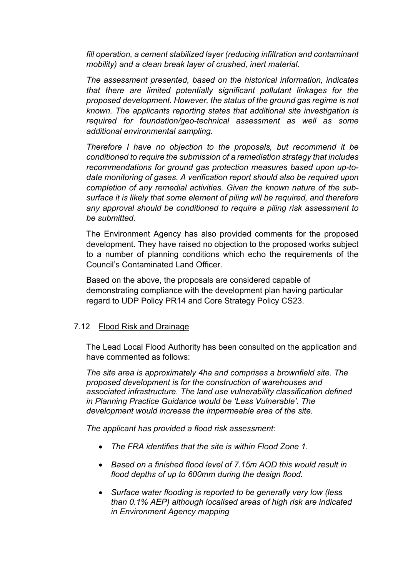*fill operation, a cement stabilized layer (reducing infiltration and contaminant mobility) and a clean break layer of crushed, inert material.*

*The assessment presented, based on the historical information, indicates that there are limited potentially significant pollutant linkages for the proposed development. However, the status of the ground gas regime is not known. The applicants reporting states that additional site investigation is required for foundation/geo-technical assessment as well as some additional environmental sampling.*

*Therefore I have no objection to the proposals, but recommend it be conditioned to require the submission of a remediation strategy that includes recommendations for ground gas protection measures based upon up-todate monitoring of gases. A verification report should also be required upon completion of any remedial activities. Given the known nature of the subsurface it is likely that some element of piling will be required, and therefore any approval should be conditioned to require a piling risk assessment to be submitted.*

The Environment Agency has also provided comments for the proposed development. They have raised no objection to the proposed works subject to a number of planning conditions which echo the requirements of the Council's Contaminated Land Officer.

Based on the above, the proposals are considered capable of demonstrating compliance with the development plan having particular regard to UDP Policy PR14 and Core Strategy Policy CS23.

## 7.12 Flood Risk and Drainage

The Lead Local Flood Authority has been consulted on the application and have commented as follows:

*The site area is approximately 4ha and comprises a brownfield site. The proposed development is for the construction of warehouses and associated infrastructure. The land use vulnerability classification defined in Planning Practice Guidance would be 'Less Vulnerable'. The development would increase the impermeable area of the site.*

*The applicant has provided a flood risk assessment:*

- *The FRA identifies that the site is within Flood Zone 1.*
- *Based on a finished flood level of 7.15m AOD this would result in flood depths of up to 600mm during the design flood.*
- *Surface water flooding is reported to be generally very low (less than 0.1% AEP) although localised areas of high risk are indicated in Environment Agency mapping*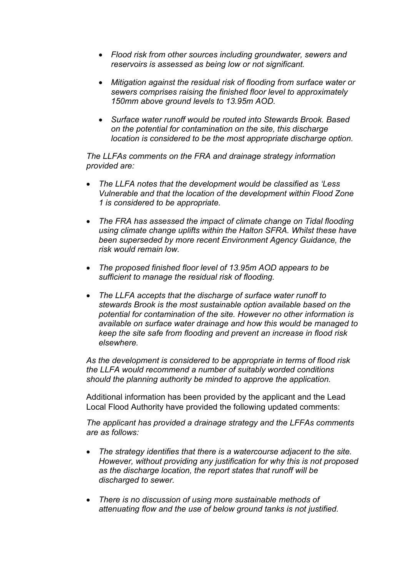- *Flood risk from other sources including groundwater, sewers and reservoirs is assessed as being low or not significant.*
- *Mitigation against the residual risk of flooding from surface water or sewers comprises raising the finished floor level to approximately 150mm above ground levels to 13.95m AOD.*
- *Surface water runoff would be routed into Stewards Brook. Based on the potential for contamination on the site, this discharge location is considered to be the most appropriate discharge option.*

*The LLFAs comments on the FRA and drainage strategy information provided are:*

- *The LLFA notes that the development would be classified as 'Less Vulnerable and that the location of the development within Flood Zone 1 is considered to be appropriate.*
- *The FRA has assessed the impact of climate change on Tidal flooding using climate change uplifts within the Halton SFRA. Whilst these have been superseded by more recent Environment Agency Guidance, the risk would remain low.*
- *The proposed finished floor level of 13.95m AOD appears to be sufficient to manage the residual risk of flooding.*
- *The LLFA accepts that the discharge of surface water runoff to stewards Brook is the most sustainable option available based on the potential for contamination of the site. However no other information is available on surface water drainage and how this would be managed to keep the site safe from flooding and prevent an increase in flood risk elsewhere.*

*As the development is considered to be appropriate in terms of flood risk the LLFA would recommend a number of suitably worded conditions should the planning authority be minded to approve the application.*

Additional information has been provided by the applicant and the Lead Local Flood Authority have provided the following updated comments:

*The applicant has provided a drainage strategy and the LFFAs comments are as follows:*

- *The strategy identifies that there is a watercourse adjacent to the site. However, without providing any justification for why this is not proposed as the discharge location, the report states that runoff will be discharged to sewer.*
- *There is no discussion of using more sustainable methods of attenuating flow and the use of below ground tanks is not justified.*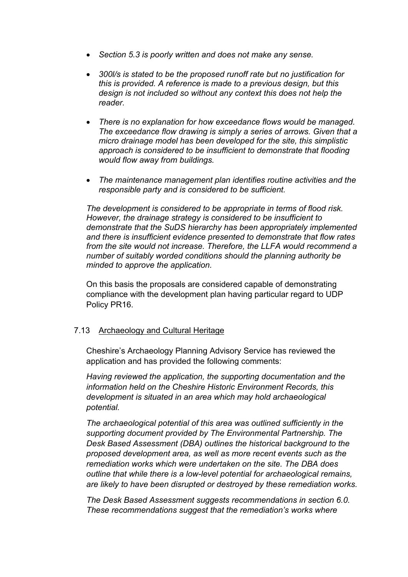- *Section 5.3 is poorly written and does not make any sense.*
- *300l/s is stated to be the proposed runoff rate but no justification for this is provided. A reference is made to a previous design, but this design is not included so without any context this does not help the reader.*
- *There is no explanation for how exceedance flows would be managed. The exceedance flow drawing is simply a series of arrows. Given that a micro drainage model has been developed for the site, this simplistic approach is considered to be insufficient to demonstrate that flooding would flow away from buildings.*
- *The maintenance management plan identifies routine activities and the responsible party and is considered to be sufficient.*

*The development is considered to be appropriate in terms of flood risk. However, the drainage strategy is considered to be insufficient to demonstrate that the SuDS hierarchy has been appropriately implemented and there is insufficient evidence presented to demonstrate that flow rates from the site would not increase. Therefore, the LLFA would recommend a number of suitably worded conditions should the planning authority be minded to approve the application.*

On this basis the proposals are considered capable of demonstrating compliance with the development plan having particular regard to UDP Policy PR16.

## 7.13 Archaeology and Cultural Heritage

Cheshire's Archaeology Planning Advisory Service has reviewed the application and has provided the following comments:

*Having reviewed the application, the supporting documentation and the information held on the Cheshire Historic Environment Records, this development is situated in an area which may hold archaeological potential.*

*The archaeological potential of this area was outlined sufficiently in the supporting document provided by The Environmental Partnership. The Desk Based Assessment (DBA) outlines the historical background to the proposed development area, as well as more recent events such as the remediation works which were undertaken on the site. The DBA does outline that while there is a low-level potential for archaeological remains, are likely to have been disrupted or destroyed by these remediation works.*

*The Desk Based Assessment suggests recommendations in section 6.0. These recommendations suggest that the remediation's works where*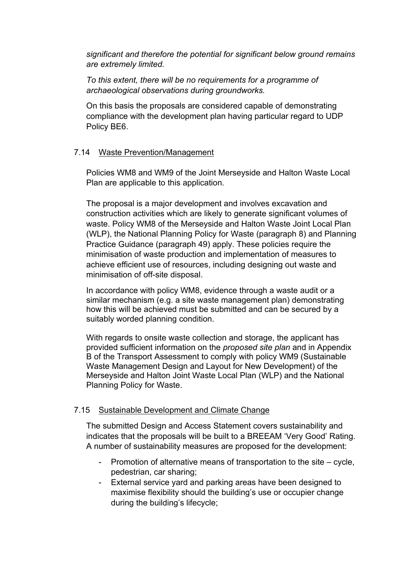*significant and therefore the potential for significant below ground remains are extremely limited.*

*To this extent, there will be no requirements for a programme of archaeological observations during groundworks.*

On this basis the proposals are considered capable of demonstrating compliance with the development plan having particular regard to UDP Policy BE6.

## 7.14 Waste Prevention/Management

Policies WM8 and WM9 of the Joint Merseyside and Halton Waste Local Plan are applicable to this application.

The proposal is a major development and involves excavation and construction activities which are likely to generate significant volumes of waste. Policy WM8 of the Merseyside and Halton Waste Joint Local Plan (WLP), the National Planning Policy for Waste (paragraph 8) and Planning Practice Guidance (paragraph 49) apply. These policies require the minimisation of waste production and implementation of measures to achieve efficient use of resources, including designing out waste and minimisation of off-site disposal.

In accordance with policy WM8, evidence through a waste audit or a similar mechanism (e.g. a site waste management plan) demonstrating how this will be achieved must be submitted and can be secured by a suitably worded planning condition.

With regards to onsite waste collection and storage, the applicant has provided sufficient information on the *proposed site plan* and in Appendix B of the Transport Assessment to comply with policy WM9 (Sustainable Waste Management Design and Layout for New Development) of the Merseyside and Halton Joint Waste Local Plan (WLP) and the National Planning Policy for Waste.

## 7.15 Sustainable Development and Climate Change

The submitted Design and Access Statement covers sustainability and indicates that the proposals will be built to a BREEAM 'Very Good' Rating. A number of sustainability measures are proposed for the development:

- Promotion of alternative means of transportation to the site cycle, pedestrian, car sharing;
- External service yard and parking areas have been designed to maximise flexibility should the building's use or occupier change during the building's lifecycle;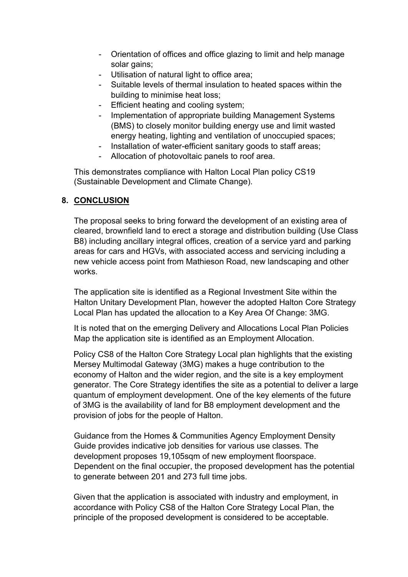- Orientation of offices and office glazing to limit and help manage solar gains;
- Utilisation of natural light to office area;
- Suitable levels of thermal insulation to heated spaces within the building to minimise heat loss;
- Efficient heating and cooling system;
- Implementation of appropriate building Management Systems (BMS) to closely monitor building energy use and limit wasted energy heating, lighting and ventilation of unoccupied spaces;
- Installation of water-efficient sanitary goods to staff areas;
- Allocation of photovoltaic panels to roof area.

This demonstrates compliance with Halton Local Plan policy CS19 (Sustainable Development and Climate Change).

## **8. CONCLUSION**

The proposal seeks to bring forward the development of an existing area of cleared, brownfield land to erect a storage and distribution building (Use Class B8) including ancillary integral offices, creation of a service yard and parking areas for cars and HGVs, with associated access and servicing including a new vehicle access point from Mathieson Road, new landscaping and other works.

The application site is identified as a Regional Investment Site within the Halton Unitary Development Plan, however the adopted Halton Core Strategy Local Plan has updated the allocation to a Key Area Of Change: 3MG.

It is noted that on the emerging Delivery and Allocations Local Plan Policies Map the application site is identified as an Employment Allocation.

Policy CS8 of the Halton Core Strategy Local plan highlights that the existing Mersey Multimodal Gateway (3MG) makes a huge contribution to the economy of Halton and the wider region, and the site is a key employment generator. The Core Strategy identifies the site as a potential to deliver a large quantum of employment development. One of the key elements of the future of 3MG is the availability of land for B8 employment development and the provision of jobs for the people of Halton.

Guidance from the Homes & Communities Agency Employment Density Guide provides indicative job densities for various use classes. The development proposes 19,105sqm of new employment floorspace. Dependent on the final occupier, the proposed development has the potential to generate between 201 and 273 full time jobs.

Given that the application is associated with industry and employment, in accordance with Policy CS8 of the Halton Core Strategy Local Plan, the principle of the proposed development is considered to be acceptable.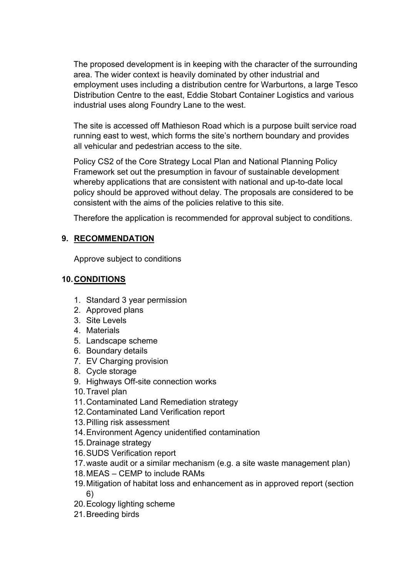The proposed development is in keeping with the character of the surrounding area. The wider context is heavily dominated by other industrial and employment uses including a distribution centre for Warburtons, a large Tesco Distribution Centre to the east, Eddie Stobart Container Logistics and various industrial uses along Foundry Lane to the west.

The site is accessed off Mathieson Road which is a purpose built service road running east to west, which forms the site's northern boundary and provides all vehicular and pedestrian access to the site.

Policy CS2 of the Core Strategy Local Plan and National Planning Policy Framework set out the presumption in favour of sustainable development whereby applications that are consistent with national and up-to-date local policy should be approved without delay. The proposals are considered to be consistent with the aims of the policies relative to this site.

Therefore the application is recommended for approval subject to conditions.

## **9. RECOMMENDATION**

Approve subject to conditions

## **10.CONDITIONS**

- 1. Standard 3 year permission
- 2. Approved plans
- 3. Site Levels
- 4. Materials
- 5. Landscape scheme
- 6. Boundary details
- 7. EV Charging provision
- 8. Cycle storage
- 9. Highways Off-site connection works
- 10.Travel plan
- 11.Contaminated Land Remediation strategy
- 12.Contaminated Land Verification report
- 13.Pilling risk assessment
- 14.Environment Agency unidentified contamination
- 15.Drainage strategy
- 16.SUDS Verification report
- 17.waste audit or a similar mechanism (e.g. a site waste management plan)
- 18.MEAS CEMP to include RAMs
- 19.Mitigation of habitat loss and enhancement as in approved report (section 6)
- 20.Ecology lighting scheme
- 21.Breeding birds